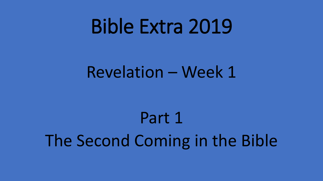# Bible Extra 2019

## Revelation – Week 1

## Part 1 The Second Coming in the Bible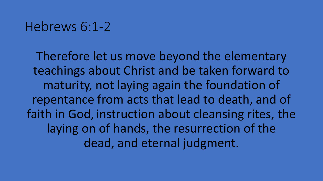#### Hebrews 6:1-2

Therefore let us move beyond the elementary teachings about Christ and be taken forward to maturity, not laying again the foundation of repentance from acts that lead to death, and of faith in God, instruction about cleansing rites, the laying on of hands, the resurrection of the dead, and eternal judgment.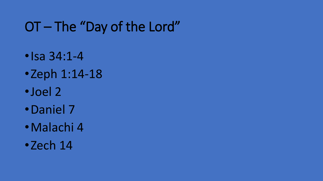## OT – The "Day of the Lord"

- •Isa 34:1-4
- •Zeph 1:14-18
- •Joel 2
- •Daniel 7
- •Malachi 4
- •Zech 14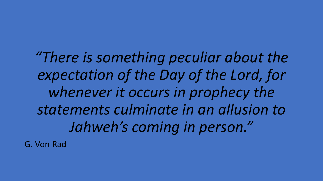*"There is something peculiar about the expectation of the Day of the Lord, for whenever it occurs in prophecy the statements culminate in an allusion to Jahweh's coming in person."*

G. Von Rad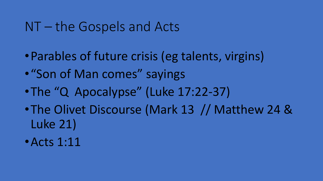#### NT – the Gospels and Acts

- •Parables of future crisis (eg talents, virgins)
- "Son of Man comes" sayings
- •The "Q Apocalypse" (Luke 17:22-37)
- •The Olivet Discourse (Mark 13 // Matthew 24 & Luke 21)
- •Acts 1:11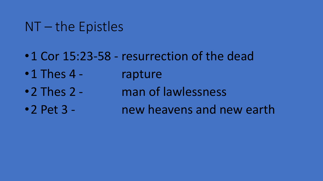#### NT – the Epistles

- •1 Cor 15:23-58 resurrection of the dead
- •1 Thes 4 rapture
- •2 Thes 2 man of lawlessness
- •2 Pet 3 The new heavens and new earth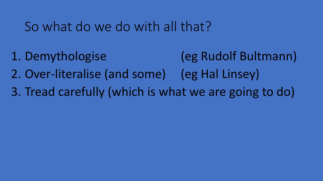#### So what do we do with all that?

1. Demythologise (eg Rudolf Bultmann) 2. Over-literalise (and some) (eg Hal Linsey) 3. Tread carefully (which is what we are going to do)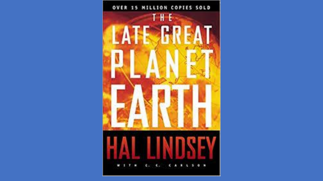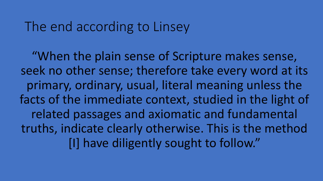"When the plain sense of Scripture makes sense, seek no other sense; therefore take every word at its primary, ordinary, usual, literal meaning unless the facts of the immediate context, studied in the light of related passages and axiomatic and fundamental truths, indicate clearly otherwise. This is the method [I] have diligently sought to follow."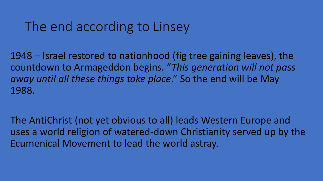1948 – Israel restored to nationhood (fig tree gaining leaves), the countdown to Armageddon begins. "*This generation will not pass away until all these things take place*." So the end will be May 1988.

The AntiChrist (not yet obvious to all) leads Western Europe and uses a world religion of watered-down Christianity served up by the Ecumenical Movement to lead the world astray.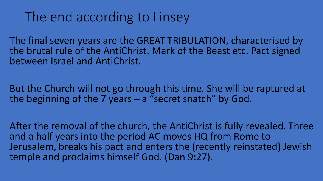The final seven years are the GREAT TRIBULATION, characterised by the brutal rule of the AntiChrist. Mark of the Beast etc. Pact signed between Israel and AntiChrist.

But the Church will not go through this time. She will be raptured at the beginning of the 7 years – a "secret snatch" by God.

After the removal of the church, the AntiChrist is fully revealed. Three and a half years into the period AC moves HQ from Rome to Jerusalem, breaks his pact and enters the (recently reinstated) Jewish temple and proclaims himself God. (Dan 9:27).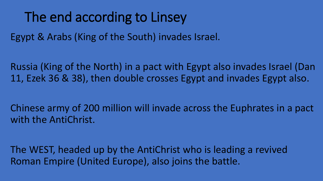Egypt & Arabs (King of the South) invades Israel.

Russia (King of the North) in a pact with Egypt also invades Israel (Dan 11, Ezek 36 & 38), then double crosses Egypt and invades Egypt also.

Chinese army of 200 million will invade across the Euphrates in a pact with the AntiChrist.

The WEST, headed up by the AntiChrist who is leading a revived Roman Empire (United Europe), also joins the battle.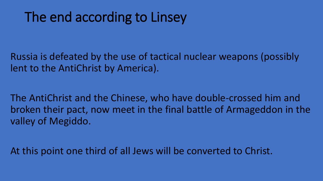Russia is defeated by the use of tactical nuclear weapons (possibly lent to the AntiChrist by America).

The AntiChrist and the Chinese, who have double-crossed him and broken their pact, now meet in the final battle of Armageddon in the valley of Megiddo.

At this point one third of all Jews will be converted to Christ.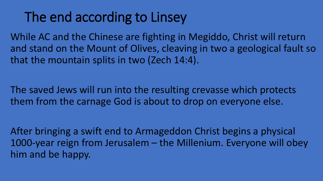While AC and the Chinese are fighting in Megiddo, Christ will return and stand on the Mount of Olives, cleaving in two a geological fault so that the mountain splits in two (Zech 14:4).

The saved Jews will run into the resulting crevasse which protects them from the carnage God is about to drop on everyone else.

After bringing a swift end to Armageddon Christ begins a physical 1000-year reign from Jerusalem – the Millenium. Everyone will obey him and be happy.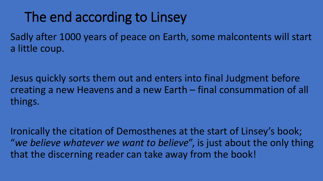Sadly after 1000 years of peace on Earth, some malcontents will start a little coup.

Jesus quickly sorts them out and enters into final Judgment before creating a new Heavens and a new Earth – final consummation of all things.

Ironically the citation of Demosthenes at the start of Linsey's book; "*we believe whatever we want to believe*", is just about the only thing that the discerning reader can take away from the book!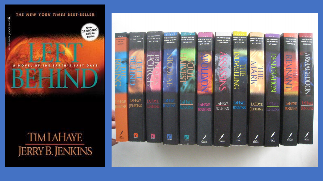THE NEW YORK TIMES BEST-SELLER Michael Books<sup>4</sup> 42000 Michael Over<br>20,000,000<br>Seld in<br>Series

 $0<sup>T</sup>$ 

 $\bullet$ 

**TIM LAHAYE JERRY B. JENKINS** 

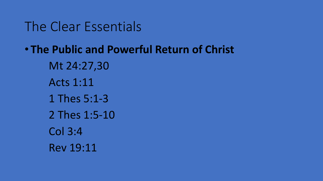- **The Public and Powerful Return of Christ**
	- Mt 24:27,30
	- Acts 1:11
	- 1 Thes 5:1-3
	- 2 Thes 1:5-10
	- Col 3:4
	- Rev 19:11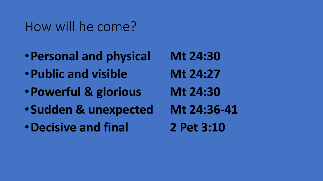#### How will he come?

- •**Personal and physical Mt 24:30** •**Public and visible Mt 24:27** •**Powerful & glorious Mt 24:30** •**Sudden & unexpected Mt 24:36-41**
- •**Decisive and final 2 Pet 3:10**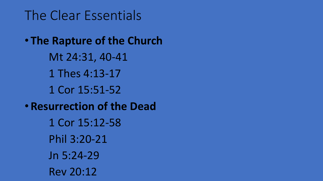• **The Rapture of the Church** Mt 24:31, 40-41 1 Thes 4:13-17 1 Cor 15:51-52 • **Resurrection of the Dead** 1 Cor 15:12-58 Phil 3:20-21 Jn 5:24-29 Rev 20:12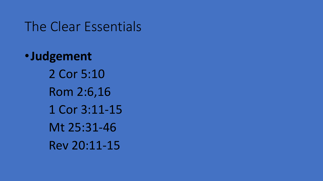•**Judgement** 2 Cor 5:10 Rom 2:6,16 1 Cor 3:11-15 Mt 25:31-46 Rev 20:11-15